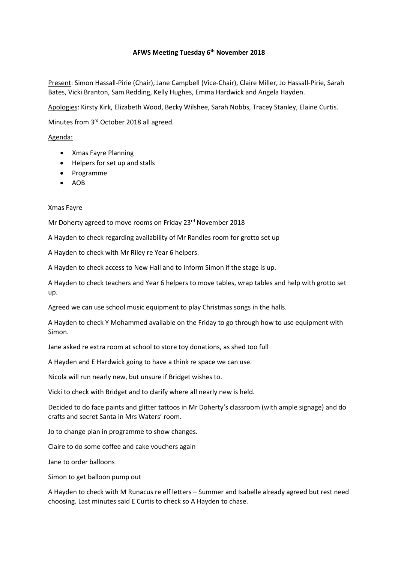# **AFWS Meeting Tuesday 6th November 2018**

Present: Simon Hassall-Pirie (Chair), Jane Campbell (Vice-Chair), Claire Miller, Jo Hassall-Pirie, Sarah Bates, Vicki Branton, Sam Redding, Kelly Hughes, Emma Hardwick and Angela Hayden.

Apologies: Kirsty Kirk, Elizabeth Wood, Becky Wilshee, Sarah Nobbs, Tracey Stanley, Elaine Curtis.

Minutes from 3rd October 2018 all agreed.

## Agenda:

- Xmas Fayre Planning
- Helpers for set up and stalls
- Programme
- AOB

## Xmas Fayre

Mr Doherty agreed to move rooms on Friday 23rd November 2018

A Hayden to check regarding availability of Mr Randles room for grotto set up

A Hayden to check with Mr Riley re Year 6 helpers.

A Hayden to check access to New Hall and to inform Simon if the stage is up.

A Hayden to check teachers and Year 6 helpers to move tables, wrap tables and help with grotto set up.

Agreed we can use school music equipment to play Christmas songs in the halls.

A Hayden to check Y Mohammed available on the Friday to go through how to use equipment with Simon.

Jane asked re extra room at school to store toy donations, as shed too full

A Hayden and E Hardwick going to have a think re space we can use.

Nicola will run nearly new, but unsure if Bridget wishes to.

Vicki to check with Bridget and to clarify where all nearly new is held.

Decided to do face paints and glitter tattoos in Mr Doherty's classroom (with ample signage) and do crafts and secret Santa in Mrs Waters' room.

Jo to change plan in programme to show changes.

Claire to do some coffee and cake vouchers again

Jane to order balloons

Simon to get balloon pump out

A Hayden to check with M Runacus re elf letters – Summer and Isabelle already agreed but rest need choosing. Last minutes said E Curtis to check so A Hayden to chase.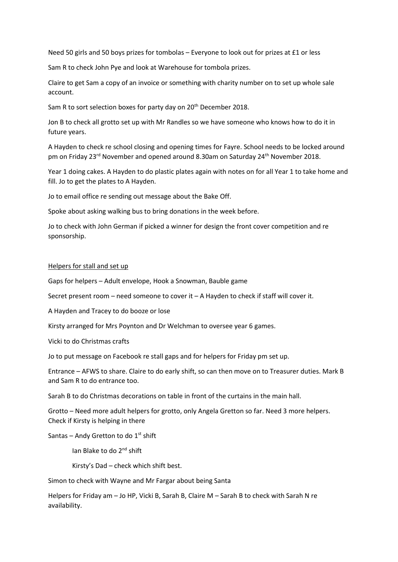Need 50 girls and 50 boys prizes for tombolas – Everyone to look out for prizes at £1 or less

Sam R to check John Pye and look at Warehouse for tombola prizes.

Claire to get Sam a copy of an invoice or something with charity number on to set up whole sale account.

Sam R to sort selection boxes for party day on 20<sup>th</sup> December 2018.

Jon B to check all grotto set up with Mr Randles so we have someone who knows how to do it in future years.

A Hayden to check re school closing and opening times for Fayre. School needs to be locked around pm on Friday 23<sup>rd</sup> November and opened around 8.30am on Saturday 24<sup>th</sup> November 2018.

Year 1 doing cakes. A Hayden to do plastic plates again with notes on for all Year 1 to take home and fill. Jo to get the plates to A Hayden.

Jo to email office re sending out message about the Bake Off.

Spoke about asking walking bus to bring donations in the week before.

Jo to check with John German if picked a winner for design the front cover competition and re sponsorship.

#### Helpers for stall and set up

Gaps for helpers – Adult envelope, Hook a Snowman, Bauble game

Secret present room – need someone to cover it – A Hayden to check if staff will cover it.

A Hayden and Tracey to do booze or lose

Kirsty arranged for Mrs Poynton and Dr Welchman to oversee year 6 games.

Vicki to do Christmas crafts

Jo to put message on Facebook re stall gaps and for helpers for Friday pm set up.

Entrance – AFWS to share. Claire to do early shift, so can then move on to Treasurer duties. Mark B and Sam R to do entrance too.

Sarah B to do Christmas decorations on table in front of the curtains in the main hall.

Grotto – Need more adult helpers for grotto, only Angela Gretton so far. Need 3 more helpers. Check if Kirsty is helping in there

Santas – Andy Gretton to do  $1<sup>st</sup>$  shift

Ian Blake to do 2nd shift

Kirsty's Dad – check which shift best.

Simon to check with Wayne and Mr Fargar about being Santa

Helpers for Friday am – Jo HP, Vicki B, Sarah B, Claire M – Sarah B to check with Sarah N re availability.